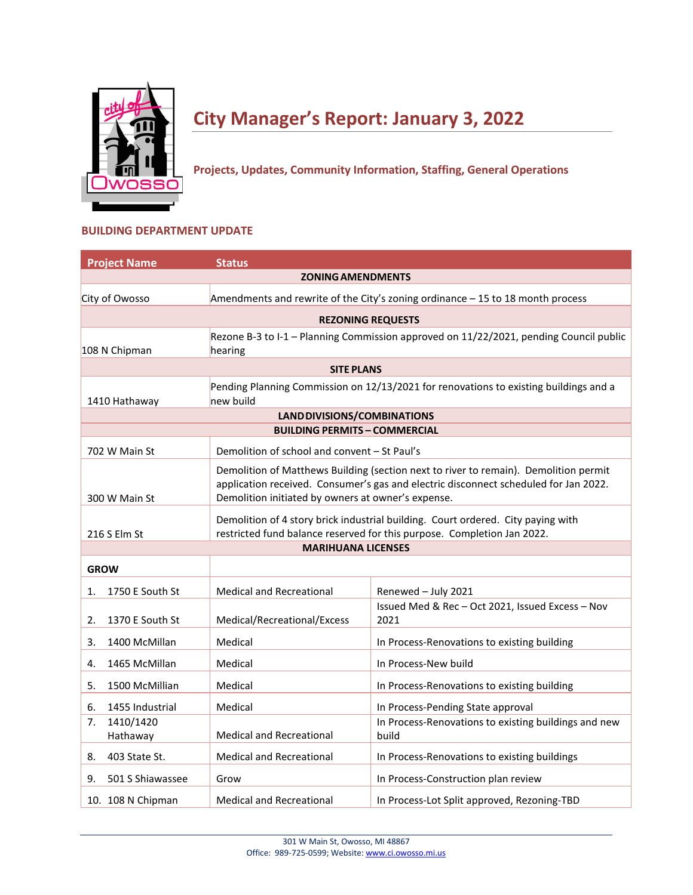

# **City Manager's Report: January 3, 2022**

**Projects, Updates, Community Information, Staffing, General Operations**

## **BUILDING DEPARTMENT UPDATE**

| <b>Project Name</b>         | <b>Status</b>                                                                   |                                                                                                                                                                              |  |  |  |
|-----------------------------|---------------------------------------------------------------------------------|------------------------------------------------------------------------------------------------------------------------------------------------------------------------------|--|--|--|
|                             | <b>ZONING AMENDMENTS</b>                                                        |                                                                                                                                                                              |  |  |  |
| City of Owosso              | Amendments and rewrite of the City's zoning ordinance $-15$ to 18 month process |                                                                                                                                                                              |  |  |  |
|                             | <b>REZONING REQUESTS</b>                                                        |                                                                                                                                                                              |  |  |  |
|                             |                                                                                 | Rezone B-3 to I-1 - Planning Commission approved on 11/22/2021, pending Council public                                                                                       |  |  |  |
| 108 N Chipman               | hearing                                                                         |                                                                                                                                                                              |  |  |  |
|                             | <b>SITE PLANS</b>                                                               |                                                                                                                                                                              |  |  |  |
| 1410 Hathaway               | new build                                                                       | Pending Planning Commission on 12/13/2021 for renovations to existing buildings and a                                                                                        |  |  |  |
|                             | LAND DIVISIONS/COMBINATIONS                                                     |                                                                                                                                                                              |  |  |  |
|                             | <b>BUILDING PERMITS - COMMERCIAL</b>                                            |                                                                                                                                                                              |  |  |  |
| 702 W Main St               | Demolition of school and convent - St Paul's                                    |                                                                                                                                                                              |  |  |  |
| 300 W Main St               | Demolition initiated by owners at owner's expense.                              | Demolition of Matthews Building (section next to river to remain). Demolition permit<br>application received. Consumer's gas and electric disconnect scheduled for Jan 2022. |  |  |  |
| 216 S Elm St                |                                                                                 | Demolition of 4 story brick industrial building. Court ordered. City paying with<br>restricted fund balance reserved for this purpose. Completion Jan 2022.                  |  |  |  |
|                             | <b>MARIHUANA LICENSES</b>                                                       |                                                                                                                                                                              |  |  |  |
| <b>GROW</b>                 |                                                                                 |                                                                                                                                                                              |  |  |  |
| 1750 E South St<br>1.       | <b>Medical and Recreational</b>                                                 | Renewed - July 2021                                                                                                                                                          |  |  |  |
| 1370 E South St<br>2.       | Medical/Recreational/Excess                                                     | Issued Med & Rec-Oct 2021, Issued Excess-Nov<br>2021                                                                                                                         |  |  |  |
| 1400 McMillan<br>3.         | Medical                                                                         | In Process-Renovations to existing building                                                                                                                                  |  |  |  |
| 1465 McMillan<br>4.         | Medical                                                                         | In Process-New build                                                                                                                                                         |  |  |  |
| 1500 McMillian<br>5.        | Medical                                                                         | In Process-Renovations to existing building                                                                                                                                  |  |  |  |
| 1455 Industrial<br>6.       | Medical                                                                         | In Process-Pending State approval                                                                                                                                            |  |  |  |
| 1410/1420<br>7.<br>Hathaway | <b>Medical and Recreational</b>                                                 | In Process-Renovations to existing buildings and new<br>build                                                                                                                |  |  |  |
| 403 State St.<br>8.         | Medical and Recreational                                                        | In Process-Renovations to existing buildings                                                                                                                                 |  |  |  |
| 501 S Shiawassee<br>9.      | Grow                                                                            | In Process-Construction plan review                                                                                                                                          |  |  |  |
| 10. 108 N Chipman           | <b>Medical and Recreational</b>                                                 | In Process-Lot Split approved, Rezoning-TBD                                                                                                                                  |  |  |  |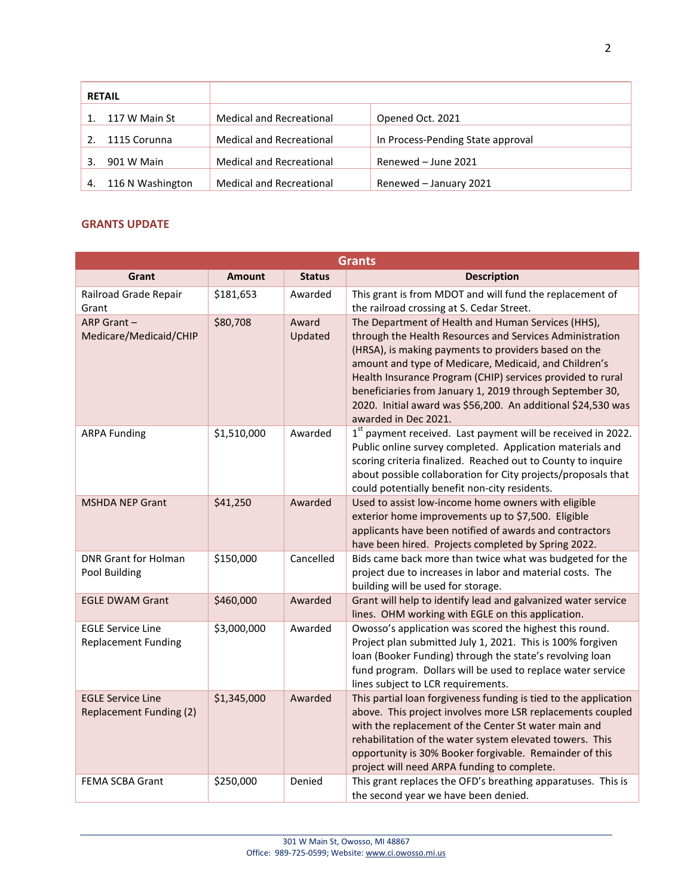|           | <b>RETAIL</b>    |                                 |                                   |
|-----------|------------------|---------------------------------|-----------------------------------|
| $1 \quad$ | 117 W Main St    | <b>Medical and Recreational</b> | Opened Oct. 2021                  |
|           | 1115 Corunna     | <b>Medical and Recreational</b> | In Process-Pending State approval |
| 3.        | 901 W Main       | <b>Medical and Recreational</b> | Renewed - June 2021               |
| 4.        | 116 N Washington | <b>Medical and Recreational</b> | Renewed - January 2021            |

## **GRANTS UPDATE**

| <b>Grants</b>                                              |               |                  |                                                                                                                                                                                                                                                                                                                                                                                                                                                   |  |
|------------------------------------------------------------|---------------|------------------|---------------------------------------------------------------------------------------------------------------------------------------------------------------------------------------------------------------------------------------------------------------------------------------------------------------------------------------------------------------------------------------------------------------------------------------------------|--|
| Grant                                                      | <b>Amount</b> | <b>Status</b>    | <b>Description</b>                                                                                                                                                                                                                                                                                                                                                                                                                                |  |
| Railroad Grade Repair<br>Grant                             | \$181,653     | Awarded          | This grant is from MDOT and will fund the replacement of<br>the railroad crossing at S. Cedar Street.                                                                                                                                                                                                                                                                                                                                             |  |
| ARP Grant-<br>Medicare/Medicaid/CHIP                       | \$80,708      | Award<br>Updated | The Department of Health and Human Services (HHS),<br>through the Health Resources and Services Administration<br>(HRSA), is making payments to providers based on the<br>amount and type of Medicare, Medicaid, and Children's<br>Health Insurance Program (CHIP) services provided to rural<br>beneficiaries from January 1, 2019 through September 30,<br>2020. Initial award was \$56,200. An additional \$24,530 was<br>awarded in Dec 2021. |  |
| <b>ARPA Funding</b>                                        | \$1,510,000   | Awarded          | 1 <sup>st</sup> payment received. Last payment will be received in 2022.<br>Public online survey completed. Application materials and<br>scoring criteria finalized. Reached out to County to inquire<br>about possible collaboration for City projects/proposals that<br>could potentially benefit non-city residents.                                                                                                                           |  |
| <b>MSHDA NEP Grant</b>                                     | \$41,250      | Awarded          | Used to assist low-income home owners with eligible<br>exterior home improvements up to \$7,500. Eligible<br>applicants have been notified of awards and contractors<br>have been hired. Projects completed by Spring 2022.                                                                                                                                                                                                                       |  |
| <b>DNR Grant for Holman</b><br>Pool Building               | \$150,000     | Cancelled        | Bids came back more than twice what was budgeted for the<br>project due to increases in labor and material costs. The<br>building will be used for storage.                                                                                                                                                                                                                                                                                       |  |
| <b>EGLE DWAM Grant</b>                                     | \$460,000     | Awarded          | Grant will help to identify lead and galvanized water service<br>lines. OHM working with EGLE on this application.                                                                                                                                                                                                                                                                                                                                |  |
| <b>EGLE Service Line</b><br><b>Replacement Funding</b>     | \$3,000,000   | Awarded          | Owosso's application was scored the highest this round.<br>Project plan submitted July 1, 2021. This is 100% forgiven<br>loan (Booker Funding) through the state's revolving loan<br>fund program. Dollars will be used to replace water service<br>lines subject to LCR requirements.                                                                                                                                                            |  |
| <b>EGLE Service Line</b><br><b>Replacement Funding (2)</b> | \$1,345,000   | Awarded          | This partial loan forgiveness funding is tied to the application<br>above. This project involves more LSR replacements coupled<br>with the replacement of the Center St water main and<br>rehabilitation of the water system elevated towers. This<br>opportunity is 30% Booker forgivable. Remainder of this<br>project will need ARPA funding to complete.                                                                                      |  |
| FEMA SCBA Grant                                            | \$250,000     | Denied           | This grant replaces the OFD's breathing apparatuses. This is<br>the second year we have been denied.                                                                                                                                                                                                                                                                                                                                              |  |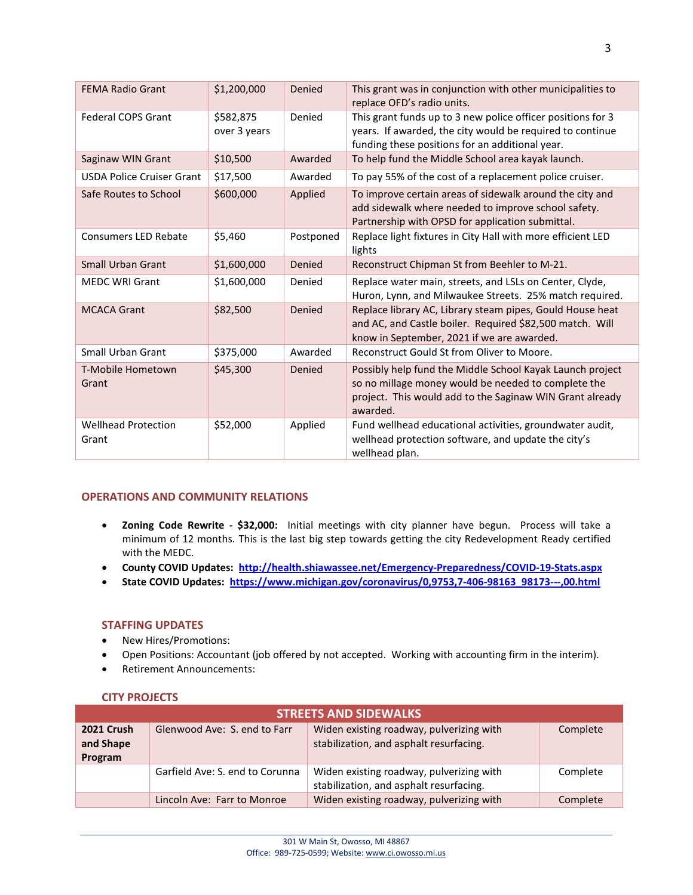| <b>FEMA Radio Grant</b>             | \$1,200,000               | Denied    | This grant was in conjunction with other municipalities to<br>replace OFD's radio units.                                                                                                 |
|-------------------------------------|---------------------------|-----------|------------------------------------------------------------------------------------------------------------------------------------------------------------------------------------------|
| <b>Federal COPS Grant</b>           | \$582,875<br>over 3 years | Denied    | This grant funds up to 3 new police officer positions for 3<br>years. If awarded, the city would be required to continue<br>funding these positions for an additional year.              |
| Saginaw WIN Grant                   | \$10,500                  | Awarded   | To help fund the Middle School area kayak launch.                                                                                                                                        |
| <b>USDA Police Cruiser Grant</b>    | \$17,500                  | Awarded   | To pay 55% of the cost of a replacement police cruiser.                                                                                                                                  |
| Safe Routes to School               | \$600,000                 | Applied   | To improve certain areas of sidewalk around the city and<br>add sidewalk where needed to improve school safety.<br>Partnership with OPSD for application submittal.                      |
| <b>Consumers LED Rebate</b>         | \$5,460                   | Postponed | Replace light fixtures in City Hall with more efficient LED<br>lights                                                                                                                    |
| Small Urban Grant                   | \$1,600,000               | Denied    | Reconstruct Chipman St from Beehler to M-21.                                                                                                                                             |
| <b>MEDC WRI Grant</b>               | \$1,600,000               | Denied    | Replace water main, streets, and LSLs on Center, Clyde,<br>Huron, Lynn, and Milwaukee Streets. 25% match required.                                                                       |
| <b>MCACA Grant</b>                  | \$82,500                  | Denied    | Replace library AC, Library steam pipes, Gould House heat<br>and AC, and Castle boiler. Required \$82,500 match. Will<br>know in September, 2021 if we are awarded.                      |
| Small Urban Grant                   | \$375,000                 | Awarded   | Reconstruct Gould St from Oliver to Moore.                                                                                                                                               |
| T-Mobile Hometown<br>Grant          | \$45,300                  | Denied    | Possibly help fund the Middle School Kayak Launch project<br>so no millage money would be needed to complete the<br>project. This would add to the Saginaw WIN Grant already<br>awarded. |
| <b>Wellhead Protection</b><br>Grant | \$52,000                  | Applied   | Fund wellhead educational activities, groundwater audit,<br>wellhead protection software, and update the city's<br>wellhead plan.                                                        |

## **OPERATIONS AND COMMUNITY RELATIONS**

- **Zoning Code Rewrite - \$32,000:** Initial meetings with city planner have begun. Process will take a minimum of 12 months. This is the last big step towards getting the city Redevelopment Ready certified with the MEDC.
- **County COVID Updates: <http://health.shiawassee.net/Emergency-Preparedness/COVID-19-Stats.aspx>**
- **State COVID Updates: [https://www.michigan.gov/coronavirus/0,9753,7-406-98163\\_98173---,00.html](https://www.michigan.gov/coronavirus/0,9753,7-406-98163_98173---,00.html)**

## **STAFFING UPDATES**

- New Hires/Promotions:
- Open Positions: Accountant (job offered by not accepted. Working with accounting firm in the interim).
- Retirement Announcements:

## **CITY PROJECTS**

| <b>STREETS AND SIDEWALKS</b>              |                                 |                                                                                     |          |  |
|-------------------------------------------|---------------------------------|-------------------------------------------------------------------------------------|----------|--|
| <b>2021 Crush</b><br>and Shape<br>Program | Glenwood Ave: S. end to Farr    | Widen existing roadway, pulverizing with<br>stabilization, and asphalt resurfacing. | Complete |  |
|                                           | Garfield Ave: S. end to Corunna | Widen existing roadway, pulverizing with<br>stabilization, and asphalt resurfacing. | Complete |  |
|                                           | Lincoln Ave: Farr to Monroe     | Widen existing roadway, pulverizing with                                            | Complete |  |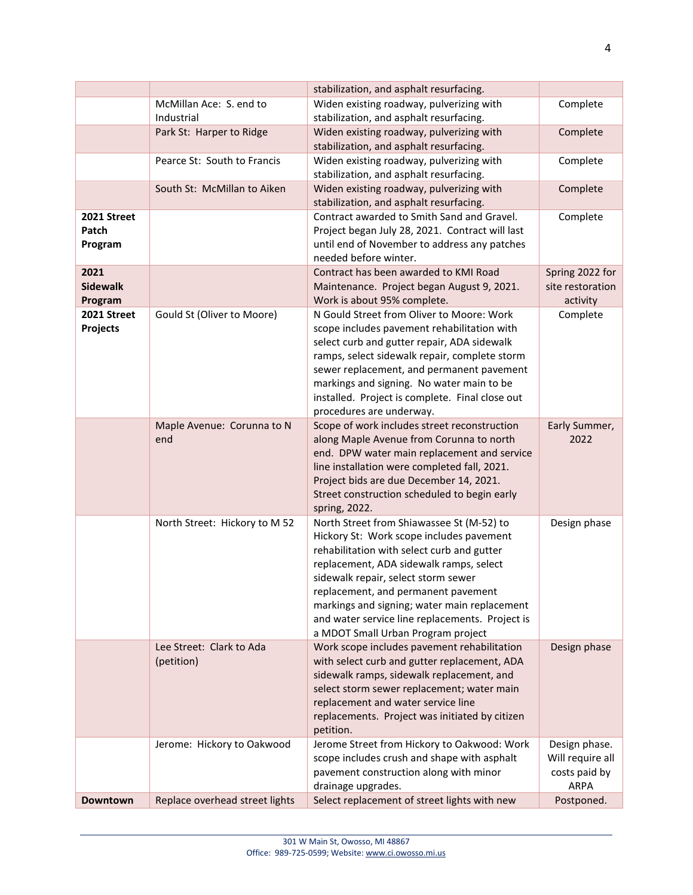|                 |                                | stabilization, and asphalt resurfacing.                                          |                  |
|-----------------|--------------------------------|----------------------------------------------------------------------------------|------------------|
|                 | McMillan Ace: S. end to        | Widen existing roadway, pulverizing with                                         | Complete         |
|                 | Industrial                     | stabilization, and asphalt resurfacing.                                          |                  |
|                 | Park St: Harper to Ridge       | Widen existing roadway, pulverizing with                                         | Complete         |
|                 |                                | stabilization, and asphalt resurfacing.                                          |                  |
|                 | Pearce St: South to Francis    | Widen existing roadway, pulverizing with                                         | Complete         |
|                 |                                | stabilization, and asphalt resurfacing.                                          |                  |
|                 | South St: McMillan to Aiken    | Widen existing roadway, pulverizing with                                         | Complete         |
|                 |                                | stabilization, and asphalt resurfacing.                                          |                  |
| 2021 Street     |                                | Contract awarded to Smith Sand and Gravel.                                       | Complete         |
| Patch           |                                | Project began July 28, 2021. Contract will last                                  |                  |
| Program         |                                | until end of November to address any patches                                     |                  |
|                 |                                | needed before winter.                                                            |                  |
| 2021            |                                | Contract has been awarded to KMI Road                                            | Spring 2022 for  |
| <b>Sidewalk</b> |                                | Maintenance. Project began August 9, 2021.                                       | site restoration |
| Program         |                                | Work is about 95% complete.                                                      | activity         |
| 2021 Street     | Gould St (Oliver to Moore)     | N Gould Street from Oliver to Moore: Work                                        | Complete         |
| <b>Projects</b> |                                | scope includes pavement rehabilitation with                                      |                  |
|                 |                                | select curb and gutter repair, ADA sidewalk                                      |                  |
|                 |                                | ramps, select sidewalk repair, complete storm                                    |                  |
|                 |                                | sewer replacement, and permanent pavement                                        |                  |
|                 |                                | markings and signing. No water main to be                                        |                  |
|                 |                                | installed. Project is complete. Final close out                                  |                  |
|                 | Maple Avenue: Corunna to N     | procedures are underway.<br>Scope of work includes street reconstruction         | Early Summer,    |
|                 | end                            | along Maple Avenue from Corunna to north                                         | 2022             |
|                 |                                | end. DPW water main replacement and service                                      |                  |
|                 |                                | line installation were completed fall, 2021.                                     |                  |
|                 |                                | Project bids are due December 14, 2021.                                          |                  |
|                 |                                | Street construction scheduled to begin early                                     |                  |
|                 |                                | spring, 2022.                                                                    |                  |
|                 | North Street: Hickory to M 52  | North Street from Shiawassee St (M-52) to                                        | Design phase     |
|                 |                                | Hickory St: Work scope includes pavement                                         |                  |
|                 |                                | rehabilitation with select curb and gutter                                       |                  |
|                 |                                | replacement, ADA sidewalk ramps, select                                          |                  |
|                 |                                | sidewalk repair, select storm sewer                                              |                  |
|                 |                                | replacement, and permanent pavement                                              |                  |
|                 |                                | markings and signing; water main replacement                                     |                  |
|                 |                                | and water service line replacements. Project is                                  |                  |
|                 |                                | a MDOT Small Urban Program project                                               |                  |
|                 | Lee Street: Clark to Ada       | Work scope includes pavement rehabilitation                                      | Design phase     |
|                 | (petition)                     | with select curb and gutter replacement, ADA                                     |                  |
|                 |                                | sidewalk ramps, sidewalk replacement, and                                        |                  |
|                 |                                | select storm sewer replacement; water main<br>replacement and water service line |                  |
|                 |                                | replacements. Project was initiated by citizen                                   |                  |
|                 |                                | petition.                                                                        |                  |
|                 | Jerome: Hickory to Oakwood     | Jerome Street from Hickory to Oakwood: Work                                      | Design phase.    |
|                 |                                | scope includes crush and shape with asphalt                                      | Will require all |
|                 |                                | pavement construction along with minor                                           | costs paid by    |
|                 |                                | drainage upgrades.                                                               | <b>ARPA</b>      |
| Downtown        | Replace overhead street lights | Select replacement of street lights with new                                     | Postponed.       |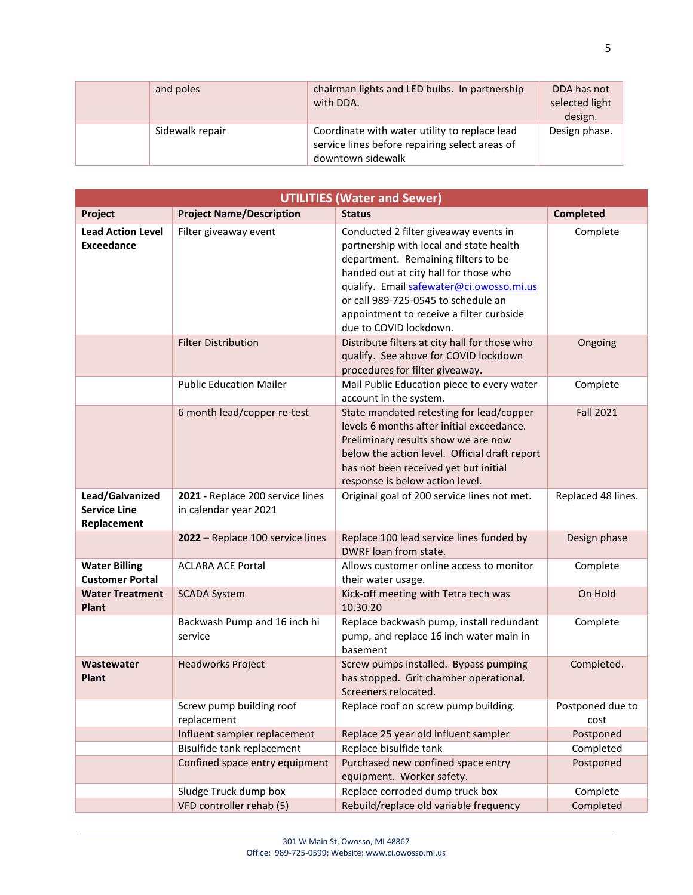| and poles       | chairman lights and LED bulbs. In partnership<br>with DDA.                                                           | DDA has not<br>selected light<br>design. |
|-----------------|----------------------------------------------------------------------------------------------------------------------|------------------------------------------|
| Sidewalk repair | Coordinate with water utility to replace lead<br>service lines before repairing select areas of<br>downtown sidewalk | Design phase.                            |

| <b>UTILITIES (Water and Sewer)</b>                    |                                                           |                                                                                                                                                                                                                                                                                                                           |                          |
|-------------------------------------------------------|-----------------------------------------------------------|---------------------------------------------------------------------------------------------------------------------------------------------------------------------------------------------------------------------------------------------------------------------------------------------------------------------------|--------------------------|
| Project                                               | <b>Project Name/Description</b>                           | <b>Status</b>                                                                                                                                                                                                                                                                                                             | <b>Completed</b>         |
| <b>Lead Action Level</b><br><b>Exceedance</b>         | Filter giveaway event                                     | Conducted 2 filter giveaway events in<br>partnership with local and state health<br>department. Remaining filters to be<br>handed out at city hall for those who<br>qualify. Email safewater@ci.owosso.mi.us<br>or call 989-725-0545 to schedule an<br>appointment to receive a filter curbside<br>due to COVID lockdown. | Complete                 |
|                                                       | <b>Filter Distribution</b>                                | Distribute filters at city hall for those who<br>qualify. See above for COVID lockdown<br>procedures for filter giveaway.                                                                                                                                                                                                 | Ongoing                  |
|                                                       | <b>Public Education Mailer</b>                            | Mail Public Education piece to every water<br>account in the system.                                                                                                                                                                                                                                                      | Complete                 |
|                                                       | 6 month lead/copper re-test                               | State mandated retesting for lead/copper<br>levels 6 months after initial exceedance.<br>Preliminary results show we are now<br>below the action level. Official draft report<br>has not been received yet but initial<br>response is below action level.                                                                 | <b>Fall 2021</b>         |
| Lead/Galvanized<br><b>Service Line</b><br>Replacement | 2021 - Replace 200 service lines<br>in calendar year 2021 | Original goal of 200 service lines not met.                                                                                                                                                                                                                                                                               | Replaced 48 lines.       |
|                                                       | 2022 - Replace 100 service lines                          | Replace 100 lead service lines funded by<br>DWRF loan from state.                                                                                                                                                                                                                                                         | Design phase             |
| <b>Water Billing</b><br><b>Customer Portal</b>        | <b>ACLARA ACE Portal</b>                                  | Allows customer online access to monitor<br>their water usage.                                                                                                                                                                                                                                                            | Complete                 |
| <b>Water Treatment</b><br><b>Plant</b>                | <b>SCADA System</b>                                       | Kick-off meeting with Tetra tech was<br>10.30.20                                                                                                                                                                                                                                                                          | On Hold                  |
|                                                       | Backwash Pump and 16 inch hi<br>service                   | Replace backwash pump, install redundant<br>pump, and replace 16 inch water main in<br>basement                                                                                                                                                                                                                           | Complete                 |
| Wastewater<br><b>Plant</b>                            | <b>Headworks Project</b>                                  | Screw pumps installed. Bypass pumping<br>has stopped. Grit chamber operational.<br>Screeners relocated.                                                                                                                                                                                                                   | Completed.               |
|                                                       | Screw pump building roof<br>replacement                   | Replace roof on screw pump building.                                                                                                                                                                                                                                                                                      | Postponed due to<br>cost |
|                                                       | Influent sampler replacement                              | Replace 25 year old influent sampler                                                                                                                                                                                                                                                                                      | Postponed                |
|                                                       | Bisulfide tank replacement                                | Replace bisulfide tank                                                                                                                                                                                                                                                                                                    | Completed                |
|                                                       | Confined space entry equipment                            | Purchased new confined space entry<br>equipment. Worker safety.                                                                                                                                                                                                                                                           | Postponed                |
|                                                       | Sludge Truck dump box                                     | Replace corroded dump truck box                                                                                                                                                                                                                                                                                           | Complete                 |
|                                                       | VFD controller rehab (5)                                  | Rebuild/replace old variable frequency                                                                                                                                                                                                                                                                                    | Completed                |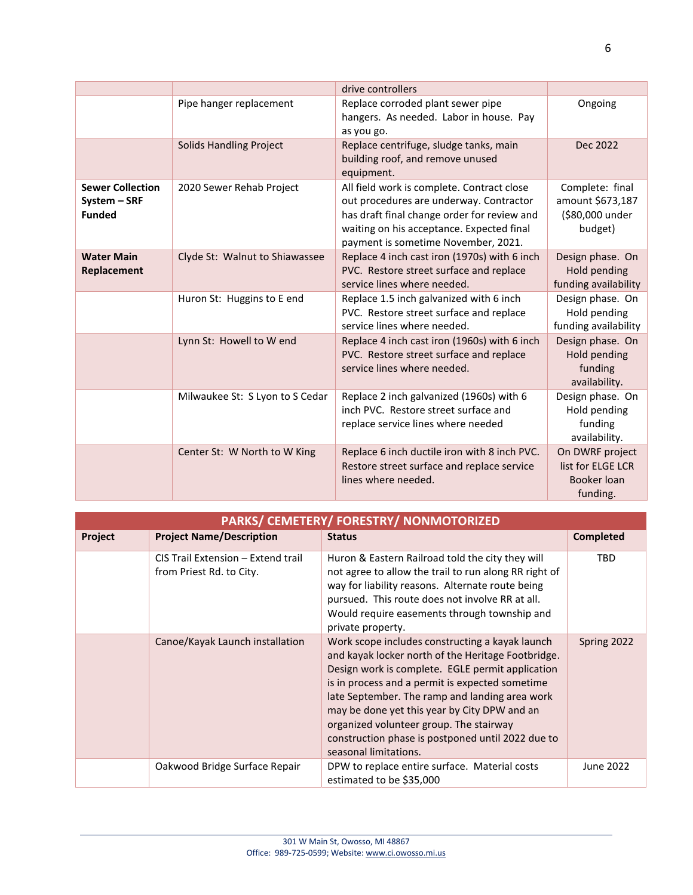|                                                          |                                 | drive controllers                                                                                                                                                                                                        |                                                                   |
|----------------------------------------------------------|---------------------------------|--------------------------------------------------------------------------------------------------------------------------------------------------------------------------------------------------------------------------|-------------------------------------------------------------------|
|                                                          | Pipe hanger replacement         | Replace corroded plant sewer pipe<br>hangers. As needed. Labor in house. Pay<br>as you go.                                                                                                                               | Ongoing                                                           |
|                                                          | <b>Solids Handling Project</b>  | Replace centrifuge, sludge tanks, main<br>building roof, and remove unused<br>equipment.                                                                                                                                 | Dec 2022                                                          |
| <b>Sewer Collection</b><br>System - SRF<br><b>Funded</b> | 2020 Sewer Rehab Project        | All field work is complete. Contract close<br>out procedures are underway. Contractor<br>has draft final change order for review and<br>waiting on his acceptance. Expected final<br>payment is sometime November, 2021. | Complete: final<br>amount \$673,187<br>(\$80,000 under<br>budget) |
| <b>Water Main</b><br>Replacement                         | Clyde St: Walnut to Shiawassee  | Replace 4 inch cast iron (1970s) with 6 inch<br>PVC. Restore street surface and replace<br>service lines where needed.                                                                                                   | Design phase. On<br>Hold pending<br>funding availability          |
|                                                          | Huron St: Huggins to E end      | Replace 1.5 inch galvanized with 6 inch<br>PVC. Restore street surface and replace<br>service lines where needed.                                                                                                        | Design phase. On<br>Hold pending<br>funding availability          |
|                                                          | Lynn St: Howell to W end        | Replace 4 inch cast iron (1960s) with 6 inch<br>PVC. Restore street surface and replace<br>service lines where needed.                                                                                                   | Design phase. On<br>Hold pending<br>funding<br>availability.      |
|                                                          | Milwaukee St: S Lyon to S Cedar | Replace 2 inch galvanized (1960s) with 6<br>inch PVC. Restore street surface and<br>replace service lines where needed                                                                                                   | Design phase. On<br>Hold pending<br>funding<br>availability.      |
|                                                          | Center St: W North to W King    | Replace 6 inch ductile iron with 8 inch PVC.<br>Restore street surface and replace service<br>lines where needed.                                                                                                        | On DWRF project<br>list for ELGE LCR<br>Booker loan<br>funding.   |

6

| PARKS/ CEMETERY/ FORESTRY/ NONMOTORIZED |                                                                |                                                                                                                                                                                                                                                                                                                                                                                                                                         |                  |  |
|-----------------------------------------|----------------------------------------------------------------|-----------------------------------------------------------------------------------------------------------------------------------------------------------------------------------------------------------------------------------------------------------------------------------------------------------------------------------------------------------------------------------------------------------------------------------------|------------------|--|
| Project                                 | <b>Project Name/Description</b>                                | <b>Status</b>                                                                                                                                                                                                                                                                                                                                                                                                                           | <b>Completed</b> |  |
|                                         | CIS Trail Extension - Extend trail<br>from Priest Rd. to City. | Huron & Eastern Railroad told the city they will<br>not agree to allow the trail to run along RR right of<br>way for liability reasons. Alternate route being<br>pursued. This route does not involve RR at all.<br>Would require easements through township and<br>private property.                                                                                                                                                   | <b>TBD</b>       |  |
|                                         | Canoe/Kayak Launch installation                                | Work scope includes constructing a kayak launch<br>and kayak locker north of the Heritage Footbridge.<br>Design work is complete. EGLE permit application<br>is in process and a permit is expected sometime<br>late September. The ramp and landing area work<br>may be done yet this year by City DPW and an<br>organized volunteer group. The stairway<br>construction phase is postponed until 2022 due to<br>seasonal limitations. | Spring 2022      |  |
|                                         | Oakwood Bridge Surface Repair                                  | DPW to replace entire surface. Material costs<br>estimated to be \$35,000                                                                                                                                                                                                                                                                                                                                                               | June 2022        |  |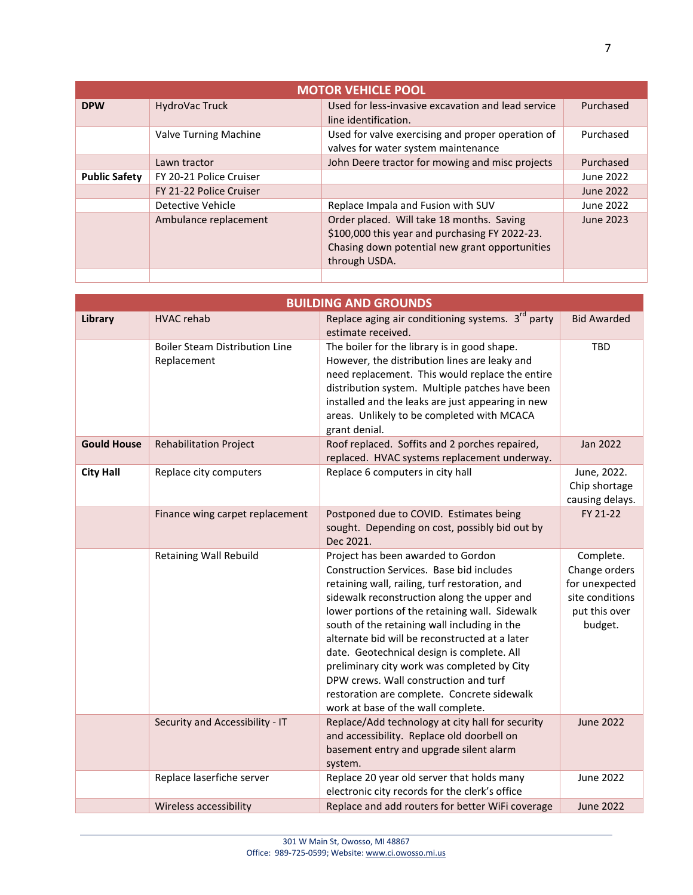| <b>MOTOR VEHICLE POOL</b> |                         |                                                    |                  |
|---------------------------|-------------------------|----------------------------------------------------|------------------|
| <b>DPW</b>                | HydroVac Truck          | Used for less-invasive excavation and lead service | Purchased        |
|                           |                         | line identification.                               |                  |
|                           | Valve Turning Machine   | Used for valve exercising and proper operation of  | Purchased        |
|                           |                         | valves for water system maintenance                |                  |
|                           | Lawn tractor            | John Deere tractor for mowing and misc projects    | Purchased        |
| <b>Public Safety</b>      | FY 20-21 Police Cruiser |                                                    | June 2022        |
|                           | FY 21-22 Police Cruiser |                                                    | <b>June 2022</b> |
|                           | Detective Vehicle       | Replace Impala and Fusion with SUV                 | June 2022        |
|                           | Ambulance replacement   | Order placed. Will take 18 months. Saving          | June 2023        |
|                           |                         | \$100,000 this year and purchasing FY 2022-23.     |                  |
|                           |                         | Chasing down potential new grant opportunities     |                  |
|                           |                         | through USDA.                                      |                  |
|                           |                         |                                                    |                  |

| <b>BUILDING AND GROUNDS</b> |                                                      |                                                                                                                                                                                                                                                                                                                                                                                                                                                                                                                                                                |                                                                                             |  |
|-----------------------------|------------------------------------------------------|----------------------------------------------------------------------------------------------------------------------------------------------------------------------------------------------------------------------------------------------------------------------------------------------------------------------------------------------------------------------------------------------------------------------------------------------------------------------------------------------------------------------------------------------------------------|---------------------------------------------------------------------------------------------|--|
| Library                     | <b>HVAC rehab</b>                                    | Replace aging air conditioning systems. 3 <sup>rd</sup> party<br>estimate received.                                                                                                                                                                                                                                                                                                                                                                                                                                                                            | <b>Bid Awarded</b>                                                                          |  |
|                             | <b>Boiler Steam Distribution Line</b><br>Replacement | The boiler for the library is in good shape.<br>However, the distribution lines are leaky and<br>need replacement. This would replace the entire<br>distribution system. Multiple patches have been<br>installed and the leaks are just appearing in new<br>areas. Unlikely to be completed with MCACA<br>grant denial.                                                                                                                                                                                                                                        | TBD                                                                                         |  |
| <b>Gould House</b>          | <b>Rehabilitation Project</b>                        | Roof replaced. Soffits and 2 porches repaired,<br>replaced. HVAC systems replacement underway.                                                                                                                                                                                                                                                                                                                                                                                                                                                                 | Jan 2022                                                                                    |  |
| <b>City Hall</b>            | Replace city computers                               | Replace 6 computers in city hall                                                                                                                                                                                                                                                                                                                                                                                                                                                                                                                               | June, 2022.<br>Chip shortage<br>causing delays.                                             |  |
|                             | Finance wing carpet replacement                      | Postponed due to COVID. Estimates being<br>sought. Depending on cost, possibly bid out by<br>Dec 2021.                                                                                                                                                                                                                                                                                                                                                                                                                                                         | FY 21-22                                                                                    |  |
|                             | Retaining Wall Rebuild                               | Project has been awarded to Gordon<br>Construction Services. Base bid includes<br>retaining wall, railing, turf restoration, and<br>sidewalk reconstruction along the upper and<br>lower portions of the retaining wall. Sidewalk<br>south of the retaining wall including in the<br>alternate bid will be reconstructed at a later<br>date. Geotechnical design is complete. All<br>preliminary city work was completed by City<br>DPW crews. Wall construction and turf<br>restoration are complete. Concrete sidewalk<br>work at base of the wall complete. | Complete.<br>Change orders<br>for unexpected<br>site conditions<br>put this over<br>budget. |  |
|                             | Security and Accessibility - IT                      | Replace/Add technology at city hall for security<br>and accessibility. Replace old doorbell on<br>basement entry and upgrade silent alarm<br>system.                                                                                                                                                                                                                                                                                                                                                                                                           | <b>June 2022</b>                                                                            |  |
|                             | Replace laserfiche server                            | Replace 20 year old server that holds many<br>electronic city records for the clerk's office                                                                                                                                                                                                                                                                                                                                                                                                                                                                   | <b>June 2022</b>                                                                            |  |
|                             | Wireless accessibility                               | Replace and add routers for better WiFi coverage                                                                                                                                                                                                                                                                                                                                                                                                                                                                                                               | <b>June 2022</b>                                                                            |  |